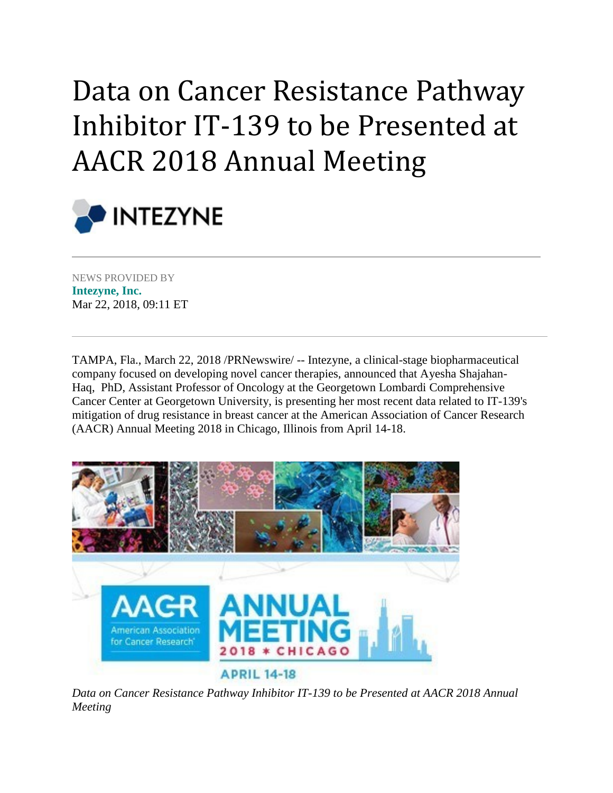## Data on Cancer Resistance Pathway Inhibitor IT-139 to be Presented at AACR 2018 Annual Meeting



NEWS PROVIDED BY **[Intezyne, Inc.](https://www.prnewswire.com/news/intezyne-inc)** Mar 22, 2018, 09:11 ET

TAMPA, Fla., March 22, 2018 /PRNewswire/ -- Intezyne, a clinical-stage biopharmaceutical company focused on developing novel cancer therapies, announced that Ayesha Shajahan-Haq, PhD, Assistant Professor of Oncology at the Georgetown Lombardi Comprehensive Cancer Center at Georgetown University, is presenting her most recent data related to IT-139's mitigation of drug resistance in breast cancer at the American Association of Cancer Research (AACR) Annual Meeting 2018 in Chicago, Illinois from April 14-18.



*Data on Cancer Resistance Pathway Inhibitor IT-139 to be Presented at AACR 2018 Annual Meeting*